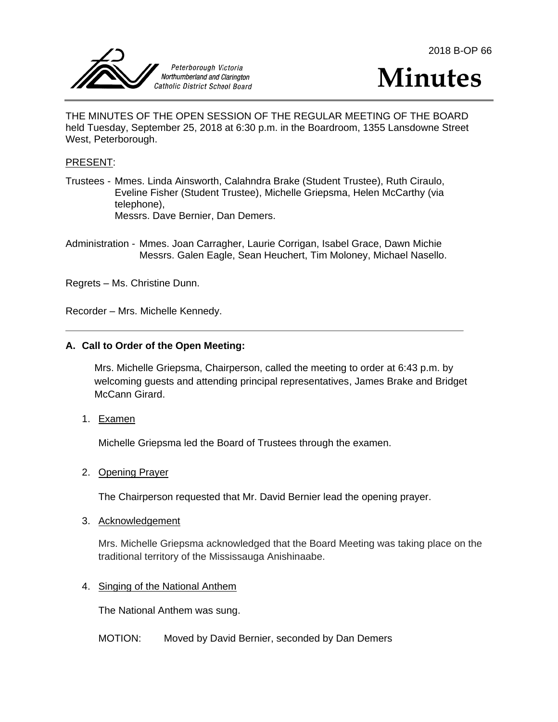





THE MINUTES OF THE OPEN SESSION OF THE REGULAR MEETING OF THE BOARD held Tuesday, September 25, 2018 at 6:30 p.m. in the Boardroom, 1355 Lansdowne Street West, Peterborough.

#### PRESENT:

- Trustees Mmes. Linda Ainsworth, Calahndra Brake (Student Trustee), Ruth Ciraulo, Eveline Fisher (Student Trustee), Michelle Griepsma, Helen McCarthy (via telephone), Messrs. Dave Bernier, Dan Demers.
- Administration Mmes. Joan Carragher, Laurie Corrigan, Isabel Grace, Dawn Michie Messrs. Galen Eagle, Sean Heuchert, Tim Moloney, Michael Nasello.

Regrets – Ms. Christine Dunn.

Recorder – Mrs. Michelle Kennedy.

#### **A. Call to Order of the Open Meeting:**

Mrs. Michelle Griepsma, Chairperson, called the meeting to order at 6:43 p.m. by welcoming guests and attending principal representatives, James Brake and Bridget McCann Girard.

1. Examen

Michelle Griepsma led the Board of Trustees through the examen.

#### 2. Opening Prayer

The Chairperson requested that Mr. David Bernier lead the opening prayer.

#### 3. Acknowledgement

Mrs. Michelle Griepsma acknowledged that the Board Meeting was taking place on the traditional territory of the Mississauga Anishinaabe.

#### 4. Singing of the National Anthem

The National Anthem was sung.

# MOTION: Moved by David Bernier, seconded by Dan Demers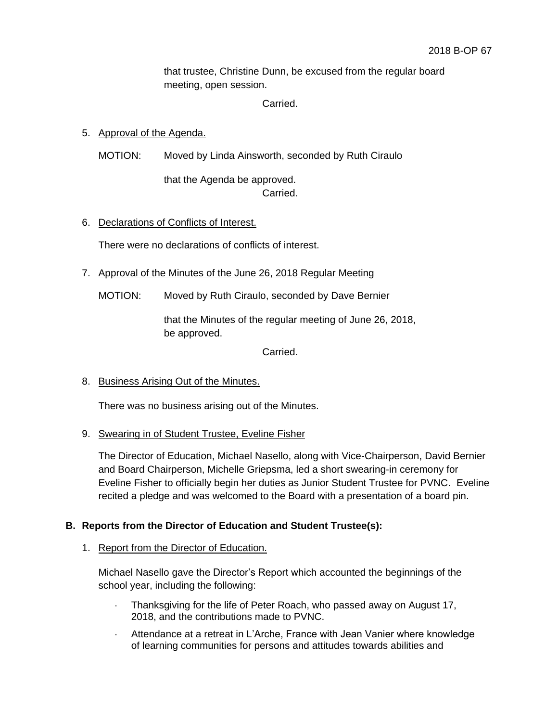that trustee, Christine Dunn, be excused from the regular board meeting, open session.

Carried.

# 5. Approval of the Agenda.

MOTION: Moved by Linda Ainsworth, seconded by Ruth Ciraulo

that the Agenda be approved. Carried.

# 6. Declarations of Conflicts of Interest.

There were no declarations of conflicts of interest.

- 7. Approval of the Minutes of the June 26, 2018 Regular Meeting
	- MOTION: Moved by Ruth Ciraulo, seconded by Dave Bernier

that the Minutes of the regular meeting of June 26, 2018, be approved.

Carried.

# 8. Business Arising Out of the Minutes.

There was no business arising out of the Minutes.

# 9. Swearing in of Student Trustee, Eveline Fisher

The Director of Education, Michael Nasello, along with Vice-Chairperson, David Bernier and Board Chairperson, Michelle Griepsma, led a short swearing-in ceremony for Eveline Fisher to officially begin her duties as Junior Student Trustee for PVNC. Eveline recited a pledge and was welcomed to the Board with a presentation of a board pin.

# **B. Reports from the Director of Education and Student Trustee(s):**

# 1. Report from the Director of Education.

Michael Nasello gave the Director's Report which accounted the beginnings of the school year, including the following:

- Thanksgiving for the life of Peter Roach, who passed away on August 17, 2018, and the contributions made to PVNC.
- Attendance at a retreat in L'Arche, France with Jean Vanier where knowledge of learning communities for persons and attitudes towards abilities and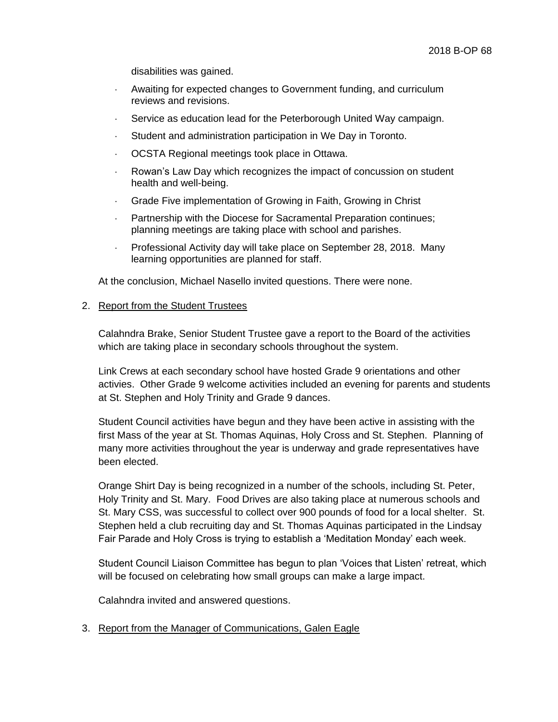disabilities was gained.

- Awaiting for expected changes to Government funding, and curriculum reviews and revisions.
- Service as education lead for the Peterborough United Way campaign.
- Student and administration participation in We Day in Toronto.
- OCSTA Regional meetings took place in Ottawa.
- Rowan's Law Day which recognizes the impact of concussion on student health and well-being.
- Grade Five implementation of Growing in Faith, Growing in Christ
- Partnership with the Diocese for Sacramental Preparation continues; planning meetings are taking place with school and parishes.
- Professional Activity day will take place on September 28, 2018. Many learning opportunities are planned for staff.

At the conclusion, Michael Nasello invited questions. There were none.

#### 2. Report from the Student Trustees

Calahndra Brake, Senior Student Trustee gave a report to the Board of the activities which are taking place in secondary schools throughout the system.

Link Crews at each secondary school have hosted Grade 9 orientations and other activies. Other Grade 9 welcome activities included an evening for parents and students at St. Stephen and Holy Trinity and Grade 9 dances.

Student Council activities have begun and they have been active in assisting with the first Mass of the year at St. Thomas Aquinas, Holy Cross and St. Stephen. Planning of many more activities throughout the year is underway and grade representatives have been elected.

Orange Shirt Day is being recognized in a number of the schools, including St. Peter, Holy Trinity and St. Mary. Food Drives are also taking place at numerous schools and St. Mary CSS, was successful to collect over 900 pounds of food for a local shelter. St. Stephen held a club recruiting day and St. Thomas Aquinas participated in the Lindsay Fair Parade and Holy Cross is trying to establish a 'Meditation Monday' each week.

Student Council Liaison Committee has begun to plan 'Voices that Listen' retreat, which will be focused on celebrating how small groups can make a large impact.

Calahndra invited and answered questions.

3. Report from the Manager of Communications, Galen Eagle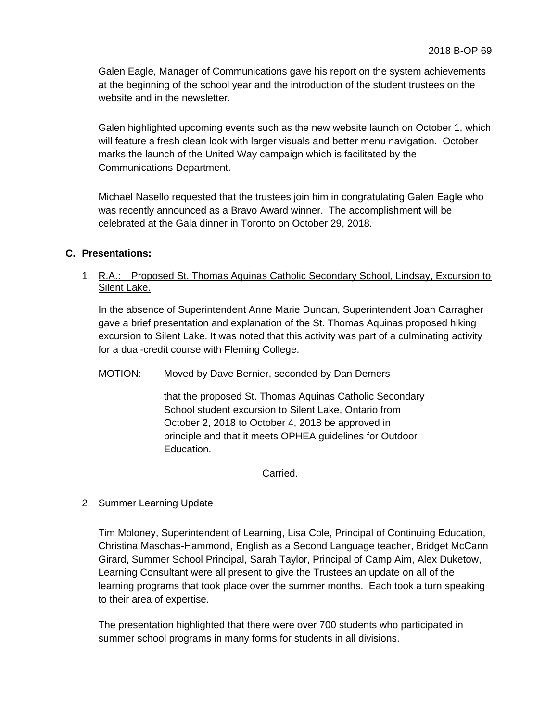Galen Eagle, Manager of Communications gave his report on the system achievements at the beginning of the school year and the introduction of the student trustees on the website and in the newsletter.

Galen highlighted upcoming events such as the new website launch on October 1, which will feature a fresh clean look with larger visuals and better menu navigation. October marks the launch of the United Way campaign which is facilitated by the Communications Department.

Michael Nasello requested that the trustees join him in congratulating Galen Eagle who was recently announced as a Bravo Award winner. The accomplishment will be celebrated at the Gala dinner in Toronto on October 29, 2018.

# **C. Presentations:**

1. R.A.: Proposed St. Thomas Aquinas Catholic Secondary School, Lindsay, Excursion to Silent Lake.

In the absence of Superintendent Anne Marie Duncan, Superintendent Joan Carragher gave a brief presentation and explanation of the St. Thomas Aquinas proposed hiking excursion to Silent Lake. It was noted that this activity was part of a culminating activity for a dual-credit course with Fleming College.

MOTION: Moved by Dave Bernier, seconded by Dan Demers

that the proposed St. Thomas Aquinas Catholic Secondary School student excursion to Silent Lake, Ontario from October 2, 2018 to October 4, 2018 be approved in principle and that it meets OPHEA guidelines for Outdoor Education.

Carried.

# 2. Summer Learning Update

Tim Moloney, Superintendent of Learning, Lisa Cole, Principal of Continuing Education, Christina Maschas-Hammond, English as a Second Language teacher, Bridget McCann Girard, Summer School Principal, Sarah Taylor, Principal of Camp Aim, Alex Duketow, Learning Consultant were all present to give the Trustees an update on all of the learning programs that took place over the summer months. Each took a turn speaking to their area of expertise.

The presentation highlighted that there were over 700 students who participated in summer school programs in many forms for students in all divisions.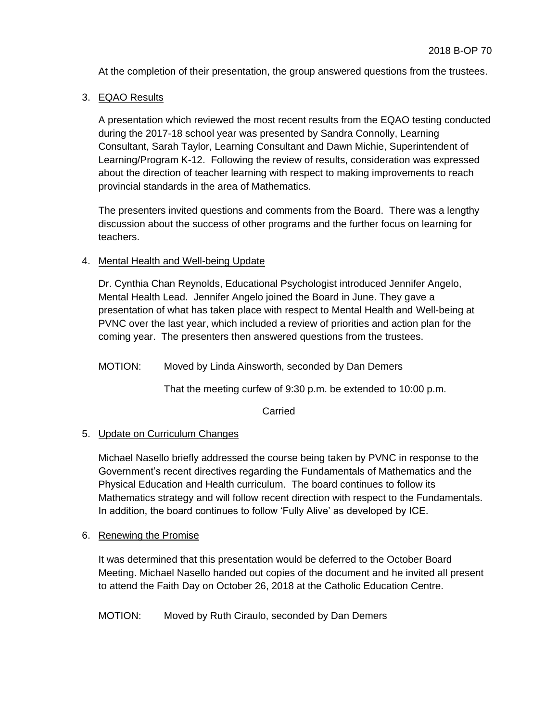At the completion of their presentation, the group answered questions from the trustees.

3. EQAO Results

A presentation which reviewed the most recent results from the EQAO testing conducted during the 2017-18 school year was presented by Sandra Connolly, Learning Consultant, Sarah Taylor, Learning Consultant and Dawn Michie, Superintendent of Learning/Program K-12. Following the review of results, consideration was expressed about the direction of teacher learning with respect to making improvements to reach provincial standards in the area of Mathematics.

The presenters invited questions and comments from the Board. There was a lengthy discussion about the success of other programs and the further focus on learning for teachers.

# 4. Mental Health and Well-being Update

Dr. Cynthia Chan Reynolds, Educational Psychologist introduced Jennifer Angelo, Mental Health Lead. Jennifer Angelo joined the Board in June. They gave a presentation of what has taken place with respect to Mental Health and Well-being at PVNC over the last year, which included a review of priorities and action plan for the coming year. The presenters then answered questions from the trustees.

MOTION: Moved by Linda Ainsworth, seconded by Dan Demers

That the meeting curfew of 9:30 p.m. be extended to 10:00 p.m.

Carried

# 5. Update on Curriculum Changes

Michael Nasello briefly addressed the course being taken by PVNC in response to the Government's recent directives regarding the Fundamentals of Mathematics and the Physical Education and Health curriculum. The board continues to follow its Mathematics strategy and will follow recent direction with respect to the Fundamentals. In addition, the board continues to follow 'Fully Alive' as developed by ICE.

# 6. Renewing the Promise

It was determined that this presentation would be deferred to the October Board Meeting. Michael Nasello handed out copies of the document and he invited all present to attend the Faith Day on October 26, 2018 at the Catholic Education Centre.

MOTION: Moved by Ruth Ciraulo, seconded by Dan Demers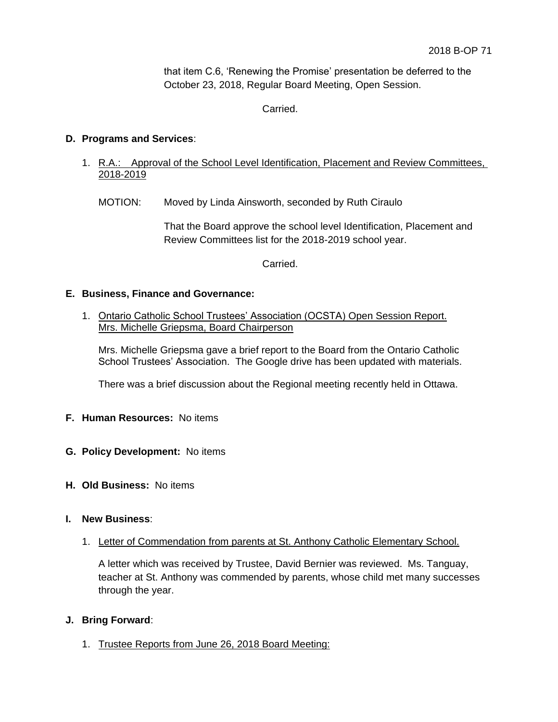that item C.6, 'Renewing the Promise' presentation be deferred to the October 23, 2018, Regular Board Meeting, Open Session.

Carried.

# **D. Programs and Services**:

- 1. R.A.: Approval of the School Level Identification, Placement and Review Committees, 2018-2019
	- MOTION: Moved by Linda Ainsworth, seconded by Ruth Ciraulo

That the Board approve the school level Identification, Placement and Review Committees list for the 2018-2019 school year.

Carried.

# **E. Business, Finance and Governance:**

1. Ontario Catholic School Trustees' Association (OCSTA) Open Session Report. Mrs. Michelle Griepsma, Board Chairperson

Mrs. Michelle Griepsma gave a brief report to the Board from the Ontario Catholic School Trustees' Association. The Google drive has been updated with materials.

There was a brief discussion about the Regional meeting recently held in Ottawa.

#### **F. Human Resources:** No items

- **G. Policy Development:** No items
- **H. Old Business:** No items

#### **I. New Business**:

1. Letter of Commendation from parents at St. Anthony Catholic Elementary School.

A letter which was received by Trustee, David Bernier was reviewed. Ms. Tanguay, teacher at St. Anthony was commended by parents, whose child met many successes through the year.

# **J. Bring Forward**:

1. Trustee Reports from June 26, 2018 Board Meeting: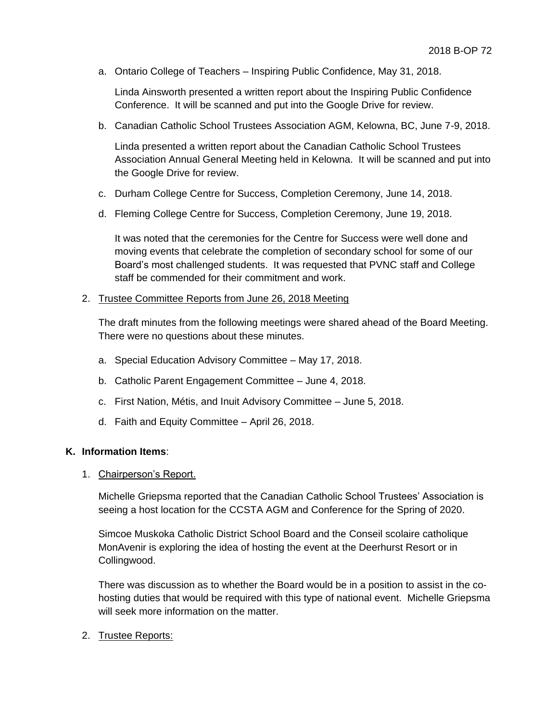a. Ontario College of Teachers – Inspiring Public Confidence, May 31, 2018.

Linda Ainsworth presented a written report about the Inspiring Public Confidence Conference. It will be scanned and put into the Google Drive for review.

b. Canadian Catholic School Trustees Association AGM, Kelowna, BC, June 7-9, 2018.

Linda presented a written report about the Canadian Catholic School Trustees Association Annual General Meeting held in Kelowna. It will be scanned and put into the Google Drive for review.

- c. Durham College Centre for Success, Completion Ceremony, June 14, 2018.
- d. Fleming College Centre for Success, Completion Ceremony, June 19, 2018.

It was noted that the ceremonies for the Centre for Success were well done and moving events that celebrate the completion of secondary school for some of our Board's most challenged students. It was requested that PVNC staff and College staff be commended for their commitment and work.

#### 2. Trustee Committee Reports from June 26, 2018 Meeting

The draft minutes from the following meetings were shared ahead of the Board Meeting. There were no questions about these minutes.

- a. Special Education Advisory Committee May 17, 2018.
- b. Catholic Parent Engagement Committee June 4, 2018.
- c. First Nation, Métis, and Inuit Advisory Committee June 5, 2018.
- d. Faith and Equity Committee April 26, 2018.

#### **K. Information Items**:

#### 1. Chairperson's Report.

Michelle Griepsma reported that the Canadian Catholic School Trustees' Association is seeing a host location for the CCSTA AGM and Conference for the Spring of 2020.

Simcoe Muskoka Catholic District School Board and the Conseil scolaire catholique MonAvenir is exploring the idea of hosting the event at the Deerhurst Resort or in Collingwood.

There was discussion as to whether the Board would be in a position to assist in the cohosting duties that would be required with this type of national event. Michelle Griepsma will seek more information on the matter.

2. Trustee Reports: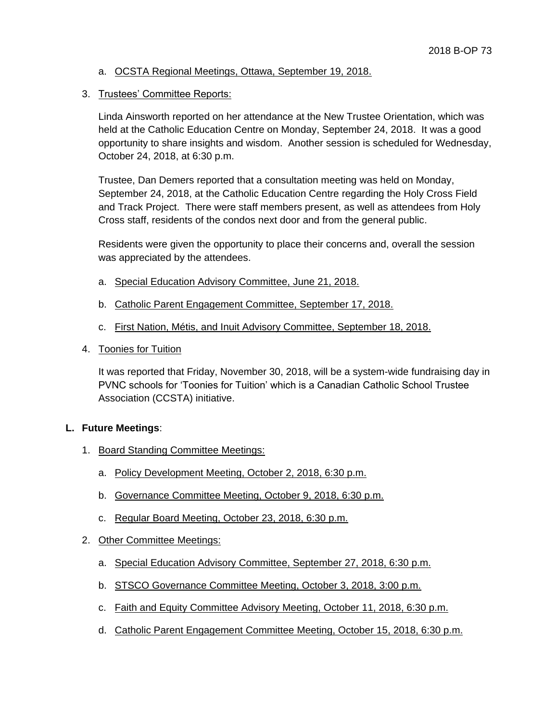- a. OCSTA Regional Meetings, Ottawa, September 19, 2018.
- 3. Trustees' Committee Reports:

Linda Ainsworth reported on her attendance at the New Trustee Orientation, which was held at the Catholic Education Centre on Monday, September 24, 2018. It was a good opportunity to share insights and wisdom. Another session is scheduled for Wednesday, October 24, 2018, at 6:30 p.m.

Trustee, Dan Demers reported that a consultation meeting was held on Monday, September 24, 2018, at the Catholic Education Centre regarding the Holy Cross Field and Track Project. There were staff members present, as well as attendees from Holy Cross staff, residents of the condos next door and from the general public.

Residents were given the opportunity to place their concerns and, overall the session was appreciated by the attendees.

- a. Special Education Advisory Committee, June 21, 2018.
- b. Catholic Parent Engagement Committee, September 17, 2018.
- c. First Nation, Métis, and Inuit Advisory Committee, September 18, 2018.
- 4. Toonies for Tuition

It was reported that Friday, November 30, 2018, will be a system-wide fundraising day in PVNC schools for 'Toonies for Tuition' which is a Canadian Catholic School Trustee Association (CCSTA) initiative.

# **L. Future Meetings**:

- 1. Board Standing Committee Meetings:
	- a. Policy Development Meeting, October 2, 2018, 6:30 p.m.
	- b. Governance Committee Meeting, October 9, 2018, 6:30 p.m.
	- c. Regular Board Meeting, October 23, 2018, 6:30 p.m.
- 2. Other Committee Meetings:
	- a. Special Education Advisory Committee, September 27, 2018, 6:30 p.m.
	- b. STSCO Governance Committee Meeting, October 3, 2018, 3:00 p.m.
	- c. Faith and Equity Committee Advisory Meeting, October 11, 2018, 6:30 p.m.
	- d. Catholic Parent Engagement Committee Meeting, October 15, 2018, 6:30 p.m.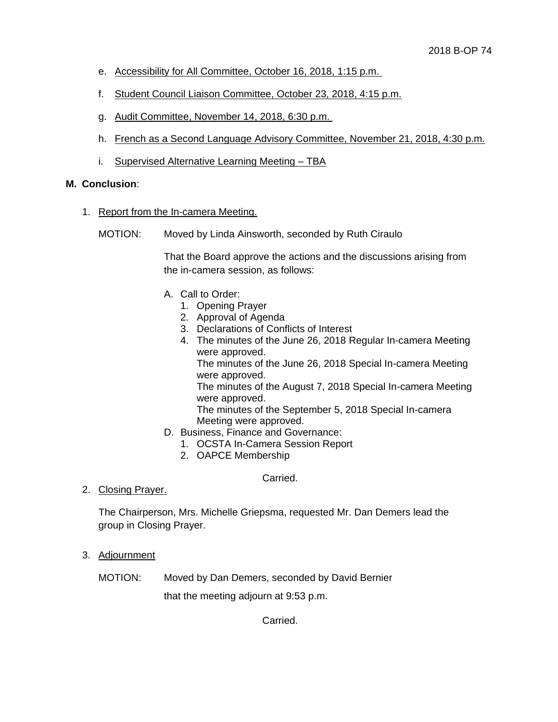- e. Accessibility for All Committee, October 16, 2018, 1:15 p.m.
- f. Student Council Liaison Committee, October 23, 2018, 4:15 p.m.
- g. Audit Committee, November 14, 2018, 6:30 p.m.
- h. French as a Second Language Advisory Committee, November 21, 2018, 4:30 p.m.
- i. Supervised Alternative Learning Meeting TBA

#### **M. Conclusion**:

- 1. Report from the In-camera Meeting.
	- MOTION: Moved by Linda Ainsworth, seconded by Ruth Ciraulo

That the Board approve the actions and the discussions arising from the in-camera session, as follows:

- A. Call to Order:
	- 1. Opening Prayer
	- 2. Approval of Agenda
	- 3. Declarations of Conflicts of Interest
	- 4. The minutes of the June 26, 2018 Regular In-camera Meeting were approved.

The minutes of the June 26, 2018 Special In-camera Meeting were approved.

The minutes of the August 7, 2018 Special In-camera Meeting were approved.

The minutes of the September 5, 2018 Special In-camera Meeting were approved.

- D. Business, Finance and Governance:
	- 1. OCSTA In-Camera Session Report
	- 2. OAPCE Membership

Carried.

2. Closing Prayer.

The Chairperson, Mrs. Michelle Griepsma, requested Mr. Dan Demers lead the group in Closing Prayer.

3. Adjournment

MOTION: Moved by Dan Demers, seconded by David Bernier

that the meeting adjourn at 9:53 p.m.

Carried.